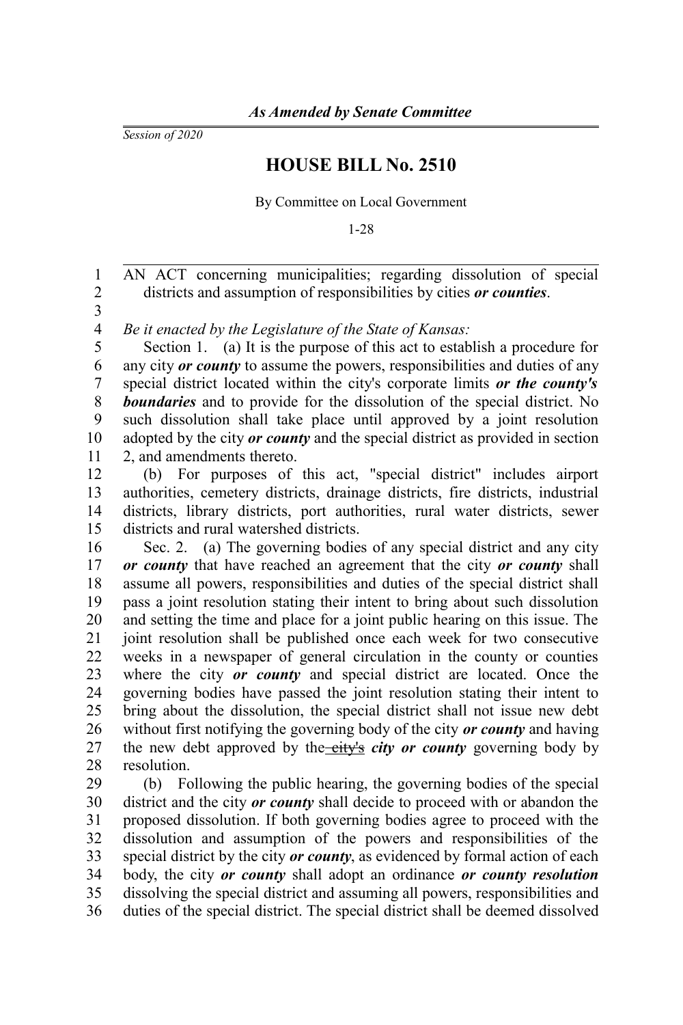*Session of 2020*

## **HOUSE BILL No. 2510**

By Committee on Local Government

1-28

AN ACT concerning municipalities; regarding dissolution of special districts and assumption of responsibilities by cities *or counties*. 1 2

3

*Be it enacted by the Legislature of the State of Kansas:* 4

Section 1. (a) It is the purpose of this act to establish a procedure for any city *or county* to assume the powers, responsibilities and duties of any special district located within the city's corporate limits *or the county's boundaries* and to provide for the dissolution of the special district. No such dissolution shall take place until approved by a joint resolution adopted by the city *or county* and the special district as provided in section 2, and amendments thereto. 5 6 7 8 9 10 11

(b) For purposes of this act, "special district" includes airport authorities, cemetery districts, drainage districts, fire districts, industrial districts, library districts, port authorities, rural water districts, sewer districts and rural watershed districts. 12 13 14 15

Sec. 2. (a) The governing bodies of any special district and any city *or county* that have reached an agreement that the city *or county* shall assume all powers, responsibilities and duties of the special district shall pass a joint resolution stating their intent to bring about such dissolution and setting the time and place for a joint public hearing on this issue. The joint resolution shall be published once each week for two consecutive weeks in a newspaper of general circulation in the county or counties where the city *or county* and special district are located. Once the governing bodies have passed the joint resolution stating their intent to bring about the dissolution, the special district shall not issue new debt without first notifying the governing body of the city *or county* and having the new debt approved by the city's *city or county* governing body by resolution. 16 17 18 19 20 21 22 23 24 25 26 27 28

(b) Following the public hearing, the governing bodies of the special district and the city *or county* shall decide to proceed with or abandon the proposed dissolution. If both governing bodies agree to proceed with the dissolution and assumption of the powers and responsibilities of the special district by the city *or county*, as evidenced by formal action of each body, the city *or county* shall adopt an ordinance *or county resolution* dissolving the special district and assuming all powers, responsibilities and duties of the special district. The special district shall be deemed dissolved 29 30 31 32 33 34 35 36